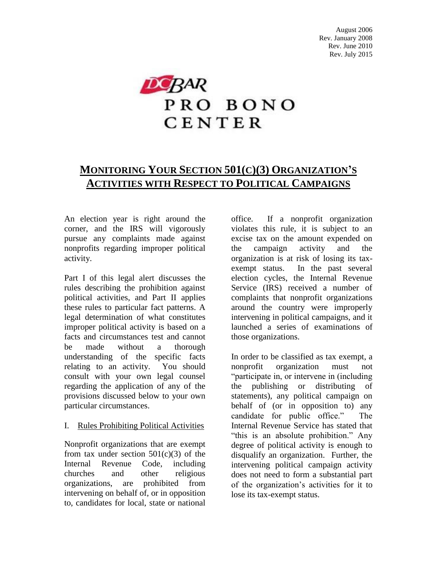

# **MONITORING YOUR SECTION 501(C)(3) ORGANIZATION'S ACTIVITIES WITH RESPECT TO POLITICAL CAMPAIGNS**

An election year is right around the corner, and the IRS will vigorously pursue any complaints made against nonprofits regarding improper political activity.

Part I of this legal alert discusses the rules describing the prohibition against political activities, and Part II applies these rules to particular fact patterns. A legal determination of what constitutes improper political activity is based on a facts and circumstances test and cannot<br>be made without a thorough be made without a thorough understanding of the specific facts relating to an activity. You should consult with your own legal counsel regarding the application of any of the provisions discussed below to your own particular circumstances.

#### I. Rules Prohibiting Political Activities

Nonprofit organizations that are exempt from tax under section  $501(c)(3)$  of the Internal Revenue Code, including churches and other religious organizations, are prohibited from intervening on behalf of, or in opposition to, candidates for local, state or national

office. If a nonprofit organization violates this rule, it is subject to an excise tax on the amount expended on the campaign activity and the organization is at risk of losing its taxexempt status. In the past several election cycles, the Internal Revenue Service (IRS) received a number of complaints that nonprofit organizations around the country were improperly intervening in political campaigns, and it launched a series of examinations of those organizations.

In order to be classified as tax exempt, a nonprofit organization must not "participate in, or intervene in (including the publishing or distributing statements), any political campaign on behalf of (or in opposition to) any candidate for public office." The Internal Revenue Service has stated that "this is an absolute prohibition." Any degree of political activity is enough to disqualify an organization. Further, the intervening political campaign activity does not need to form a substantial part of the organization's activities for it to lose its tax-exempt status.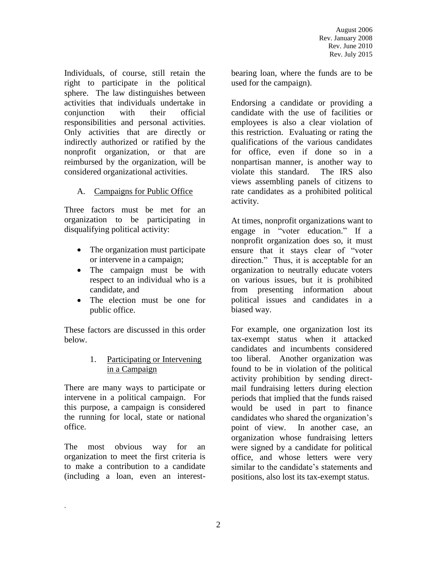Individuals, of course, still retain the right to participate in the political sphere. The law distinguishes between activities that individuals undertake in conjunction with their official responsibilities and personal activities. Only activities that are directly or indirectly authorized or ratified by the nonprofit organization, or that are reimbursed by the organization, will be considered organizational activities.

#### A. Campaigns for Public Office

Three factors must be met for an organization to be participating in disqualifying political activity:

- The organization must participate or intervene in a campaign;
- The campaign must be with respect to an individual who is a candidate, and
- The election must be one for public office.

These factors are discussed in this order below.

#### 1. Participating or Intervening in a Campaign

There are many ways to participate or intervene in a political campaign. For this purpose, a campaign is considered the running for local, state or national office.

The most obvious way for an organization to meet the first criteria is to make a contribution to a candidate (including a loan, even an interest-

.

bearing loan, where the funds are to be used for the campaign).

Endorsing a candidate or providing a candidate with the use of facilities or employees is also a clear violation of this restriction. Evaluating or rating the qualifications of the various candidates for office, even if done so in a nonpartisan manner, is another way to violate this standard. The IRS also views assembling panels of citizens to rate candidates as a prohibited political activity.

At times, nonprofit organizations want to engage in "voter education." If a nonprofit organization does so, it must ensure that it stays clear of "voter direction." Thus, it is acceptable for an organization to neutrally educate voters on various issues, but it is prohibited from presenting information about political issues and candidates in a biased way.

For example, one organization lost its tax-exempt status when it attacked candidates and incumbents considered too liberal. Another organization was found to be in violation of the political activity prohibition by sending directmail fundraising letters during election periods that implied that the funds raised would be used in part to finance candidates who shared the organization's point of view. In another case, an organization whose fundraising letters were signed by a candidate for political office, and whose letters were very similar to the candidate's statements and positions, also lost its tax-exempt status.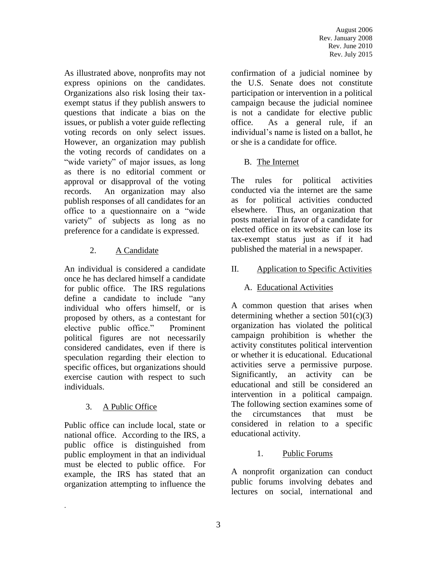As illustrated above, nonprofits may not express opinions on the candidates. Organizations also risk losing their taxexempt status if they publish answers to questions that indicate a bias on the issues, or publish a voter guide reflecting voting records on only select issues. However, an organization may publish the voting records of candidates on a "wide variety" of major issues, as long as there is no editorial comment or approval or disapproval of the voting records. An organization may also publish responses of all candidates for an office to a questionnaire on a "wide variety" of subjects as long as no preference for a candidate is expressed.

## 2. A Candidate

An individual is considered a candidate once he has declared himself a candidate for public office. The IRS regulations define a candidate to include "any individual who offers himself, or is proposed by others, as a contestant for elective public office." Prominent political figures are not necessarily considered candidates, even if there is speculation regarding their election to specific offices, but organizations should exercise caution with respect to such individuals.

## 3. A Public Office

.

Public office can include local, state or national office. According to the IRS, a public office is distinguished from public employment in that an individual must be elected to public office. For example, the IRS has stated that an organization attempting to influence the

confirmation of a judicial nominee by the U.S. Senate does not constitute participation or intervention in a political campaign because the judicial nominee is not a candidate for elective public office. As a general rule, if an individual's name is listed on a ballot, he or she is a candidate for office.

### B. The Internet

The rules for political activities conducted via the internet are the same as for political activities conducted elsewhere. Thus, an organization that posts material in favor of a candidate for elected office on its website can lose its tax-exempt status just as if it had published the material in a newspaper.

### II. Application to Specific Activities

### A. Educational Activities

A common question that arises when determining whether a section  $501(c)(3)$ organization has violated the political campaign prohibition is whether the activity constitutes political intervention or whether it is educational. Educational activities serve a permissive purpose. Significantly, an activity can be educational and still be considered an intervention in a political campaign. The following section examines some of the circumstances that must be considered in relation to a specific educational activity.

#### 1. Public Forums

A nonprofit organization can conduct public forums involving debates and lectures on social, international and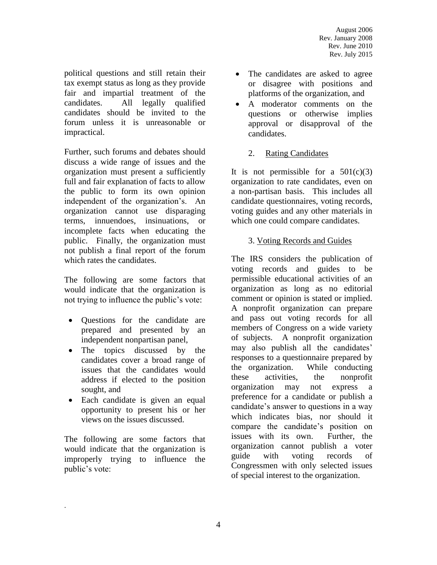political questions and still retain their tax exempt status as long as they provide fair and impartial treatment of the candidates. All legally qualified candidates should be invited to the forum unless it is unreasonable or impractical.

Further, such forums and debates should discuss a wide range of issues and the organization must present a sufficiently full and fair explanation of facts to allow the public to form its own opinion independent of the organization's. An organization cannot use disparaging terms, innuendoes, insinuations, or incomplete facts when educating the public. Finally, the organization must not publish a final report of the forum which rates the candidates.

The following are some factors that would indicate that the organization is not trying to influence the public's vote:

- Questions for the candidate are prepared and presented by an independent nonpartisan panel,
- The topics discussed by the candidates cover a broad range of issues that the candidates would address if elected to the position sought, and
- Each candidate is given an equal opportunity to present his or her views on the issues discussed.

The following are some factors that would indicate that the organization is improperly trying to influence the public's vote:

.

- The candidates are asked to agree or disagree with positions and platforms of the organization, and
- A moderator comments on the questions or otherwise implies approval or disapproval of the candidates.

### 2. Rating Candidates

It is not permissible for a  $501(c)(3)$ organization to rate candidates, even on a non-partisan basis. This includes all candidate questionnaires, voting records, voting guides and any other materials in which one could compare candidates.

#### 3. Voting Records and Guides

The IRS considers the publication of voting records and guides to be permissible educational activities of an organization as long as no editorial comment or opinion is stated or implied. A nonprofit organization can prepare and pass out voting records for all members of Congress on a wide variety of subjects. A nonprofit organization may also publish all the candidates' responses to a questionnaire prepared by the organization. While conducting these activities, the nonprofit organization may not express a preference for a candidate or publish a candidate's answer to questions in a way which indicates bias, nor should it compare the candidate's position on issues with its own. Further, the organization cannot publish a voter guide with voting records of Congressmen with only selected issues of special interest to the organization.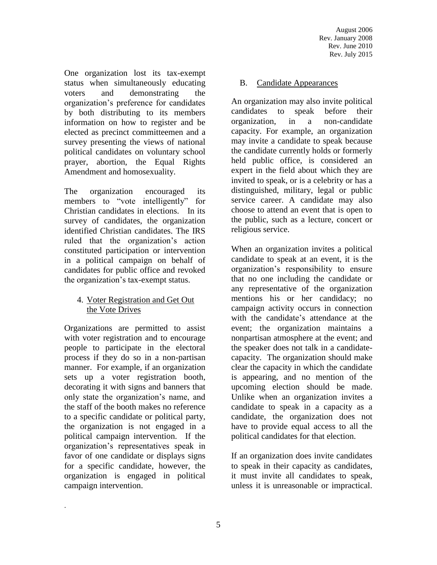One organization lost its tax-exempt status when simultaneously educating voters and demonstrating the organization's preference for candidates by both distributing to its members information on how to register and be elected as precinct committeemen and a survey presenting the views of national political candidates on voluntary school prayer, abortion, the Equal Rights Amendment and homosexuality.

The organization encouraged its members to "vote intelligently" for Christian candidates in elections. In its survey of candidates, the organization identified Christian candidates. The IRS ruled that the organization's action constituted participation or intervention in a political campaign on behalf of candidates for public office and revoked the organization's tax-exempt status.

#### 4. Voter Registration and Get Out the Vote Drives

Organizations are permitted to assist with voter registration and to encourage people to participate in the electoral process if they do so in a non-partisan manner. For example, if an organization sets up a voter registration booth, decorating it with signs and banners that only state the organization's name, and the staff of the booth makes no reference to a specific candidate or political party, the organization is not engaged in a political campaign intervention. If the organization's representatives speak in favor of one candidate or displays signs for a specific candidate, however, the organization is engaged in political campaign intervention.

.

#### B. Candidate Appearances

An organization may also invite political candidates to speak before their organization, in a non-candidate capacity. For example, an organization may invite a candidate to speak because the candidate currently holds or formerly held public office, is considered an expert in the field about which they are invited to speak, or is a celebrity or has a distinguished, military, legal or public service career. A candidate may also choose to attend an event that is open to the public, such as a lecture, concert or religious service.

When an organization invites a political candidate to speak at an event, it is the organization's responsibility to ensure that no one including the candidate or any representative of the organization mentions his or her candidacy; no campaign activity occurs in connection with the candidate's attendance at the event; the organization maintains a nonpartisan atmosphere at the event; and the speaker does not talk in a candidatecapacity. The organization should make clear the capacity in which the candidate is appearing, and no mention of the upcoming election should be made. Unlike when an organization invites a candidate to speak in a capacity as a candidate, the organization does not have to provide equal access to all the political candidates for that election.

If an organization does invite candidates to speak in their capacity as candidates, it must invite all candidates to speak, unless it is unreasonable or impractical.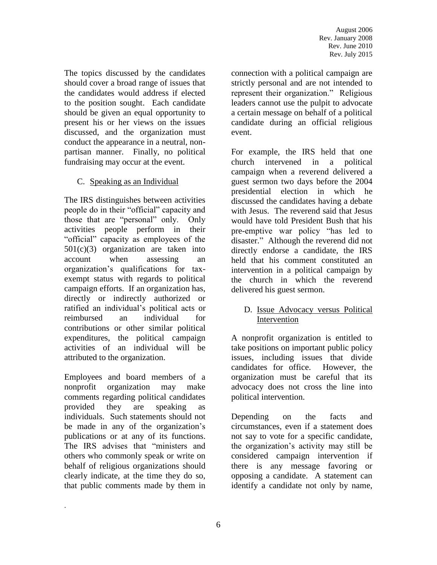The topics discussed by the candidates should cover a broad range of issues that the candidates would address if elected to the position sought. Each candidate should be given an equal opportunity to present his or her views on the issues discussed, and the organization must conduct the appearance in a neutral, nonpartisan manner. Finally, no political fundraising may occur at the event.

### C. Speaking as an Individual

The IRS distinguishes between activities people do in their "official" capacity and those that are "personal" only. Only activities people perform in their "official" capacity as employees of the  $501(c)(3)$  organization are taken into account when assessing an organization's qualifications for taxexempt status with regards to political campaign efforts. If an organization has, directly or indirectly authorized or ratified an individual's political acts or reimbursed an individual for contributions or other similar political expenditures, the political campaign activities of an individual will be attributed to the organization.

Employees and board members of a nonprofit organization may make comments regarding political candidates provided they are speaking as individuals. Such statements should not be made in any of the organization's publications or at any of its functions. The IRS advises that "ministers and others who commonly speak or write on behalf of religious organizations should clearly indicate, at the time they do so, that public comments made by them in

.

connection with a political campaign are strictly personal and are not intended to represent their organization." Religious leaders cannot use the pulpit to advocate a certain message on behalf of a political candidate during an official religious event.

For example, the IRS held that one church intervened in a political campaign when a reverend delivered a guest sermon two days before the 2004 presidential election in which he discussed the candidates having a debate with Jesus. The reverend said that Jesus would have told President Bush that his pre-emptive war policy "has led to disaster." Although the reverend did not directly endorse a candidate, the IRS held that his comment constituted an intervention in a political campaign by the church in which the reverend delivered his guest sermon.

#### D. Issue Advocacy versus Political Intervention

A nonprofit organization is entitled to take positions on important public policy issues, including issues that divide candidates for office. However, the organization must be careful that its advocacy does not cross the line into political intervention.

Depending on the facts and circumstances, even if a statement does not say to vote for a specific candidate, the organization's activity may still be considered campaign intervention if there is any message favoring or opposing a candidate. A statement can identify a candidate not only by name,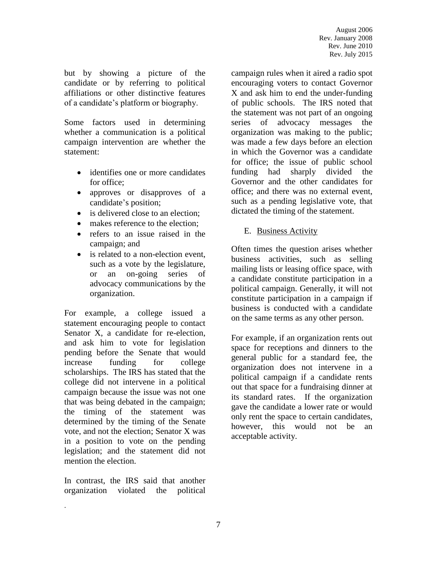but by showing a picture of the candidate or by referring to political affiliations or other distinctive features of a candidate's platform or biography.

Some factors used in determining whether a communication is a political campaign intervention are whether the statement:

- identifies one or more candidates for office;
- approves or disapproves of a candidate's position;
- is delivered close to an election:
- makes reference to the election:
- refers to an issue raised in the campaign; and
- is related to a non-election event, such as a vote by the legislature, or an on-going series of advocacy communications by the organization.

For example, a college issued a statement encouraging people to contact Senator X, a candidate for re-election, and ask him to vote for legislation pending before the Senate that would increase funding for college scholarships. The IRS has stated that the college did not intervene in a political campaign because the issue was not one that was being debated in the campaign; the timing of the statement was determined by the timing of the Senate vote, and not the election; Senator X was in a position to vote on the pending legislation; and the statement did not mention the election.

In contrast, the IRS said that another organization violated the political

.

campaign rules when it aired a radio spot encouraging voters to contact Governor X and ask him to end the under-funding of public schools. The IRS noted that the statement was not part of an ongoing series of advocacy messages the organization was making to the public; was made a few days before an election in which the Governor was a candidate for office; the issue of public school funding had sharply divided the Governor and the other candidates for office; and there was no external event, such as a pending legislative vote, that dictated the timing of the statement.

#### E. Business Activity

Often times the question arises whether business activities, such as selling mailing lists or leasing office space, with a candidate constitute participation in a political campaign. Generally, it will not constitute participation in a campaign if business is conducted with a candidate on the same terms as any other person.

For example, if an organization rents out space for receptions and dinners to the general public for a standard fee, the organization does not intervene in a political campaign if a candidate rents out that space for a fundraising dinner at its standard rates. If the organization gave the candidate a lower rate or would only rent the space to certain candidates, however, this would not be an acceptable activity.